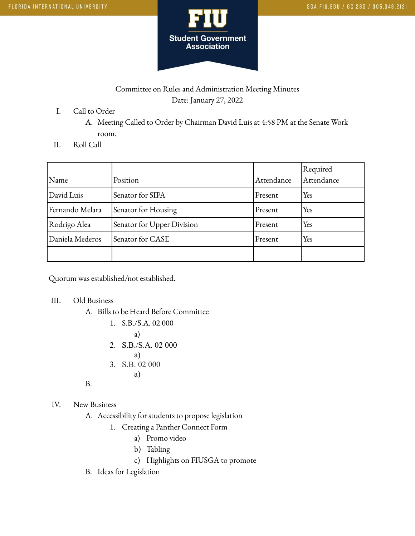

# Committee on Rules and Administration Meeting Minutes Date: January 27, 2022

- I. Call to Order
	- A. Meeting Called to Order by Chairman David Luis at 4:58 PM at the Senate Work room.
- II. Roll Call

| Name            | Position                   | Attendance | Required<br>Attendance |
|-----------------|----------------------------|------------|------------------------|
| David Luis      | Senator for SIPA           | Present    | Yes                    |
| Fernando Melara | Senator for Housing        | Present    | Yes                    |
| Rodrigo Alea    | Senator for Upper Division | Present    | Yes                    |
| Daniela Mederos | Senator for CASE           | Present    | Yes                    |
|                 |                            |            |                        |

Quorum was established/not established.

- III. Old Business
	- A. Bills to be Heard Before Committee

1. S.B./S.A. 02 000 a) 2. S.B./S.A. 02 000 a) 3. S.B. 02 000 a)

#### IV. New Business

B.

A. Accessibility for students to propose legislation

- 1. Creating a Panther Connect Form
	- a) Promo video
	- b) Tabling
	- c) Highlights on FIUSGA to promote
- B. Ideas for Legislation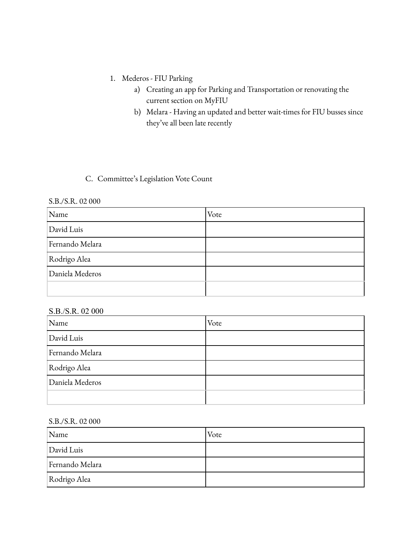#### 1. Mederos - FIU Parking

- a) Creating an app for Parking and Transportation or renovating the current section on MyFIU
- b) Melara Having an updated and better wait-times for FIU busses since they've all been late recently

### C. Committee's Legislation Vote Count

#### S.B./S.R. 02 000

| Name            | Vote |
|-----------------|------|
| David Luis      |      |
| Fernando Melara |      |
| Rodrigo Alea    |      |
| Daniela Mederos |      |
|                 |      |

### S.B./S.R. 02 000

| Name            | Vote |
|-----------------|------|
| David Luis      |      |
| Fernando Melara |      |
| Rodrigo Alea    |      |
| Daniela Mederos |      |
|                 |      |

## S.B./S.R. 02 000

| Name            | Vote |
|-----------------|------|
| David Luis      |      |
| Fernando Melara |      |
| Rodrigo Alea    |      |